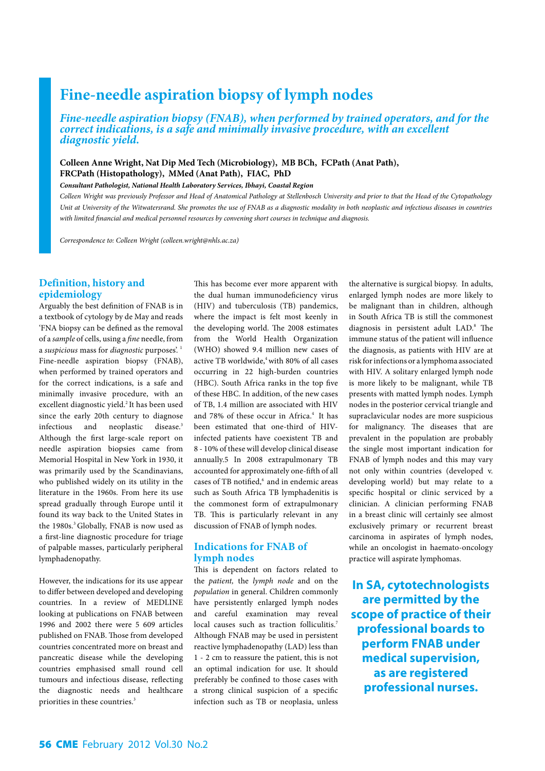# **Fine-needle aspiration biopsy of lymph nodes**

*Fine-needle aspiration biopsy (FNAB), when performed by trained operators, and for the correct indications, is a safe and minimally invasive procedure, with an excellent diagnostic yield.*

**Colleen Anne Wright, Nat Dip Med Tech (Microbiology), MB BCh, FCPath (Anat Path), FRCPath (Histopathology), MMed (Anat Path), FIAC, PhD** 

*Consultant Pathologist, National Health Laboratory Services, Ibhayi, Coastal Region*

*Colleen Wright was previously Professor and Head of Anatomical Pathology at Stellenbosch University and prior to that the Head of the Cytopathology Unit at University of the Witwatersrand. She promotes the use of FNAB as a diagnostic modality in both neoplastic and infectious diseases in countries with limited financial and medical personnel resources by convening short courses in technique and diagnosis.* 

*Correspondence to: Colleen Wright (colleen.wright@nhls.ac.za)*

### **Definition, history and epidemiology**

Arguably the best definition of FNAB is in a textbook of cytology by de May and reads 'FNA biopsy can be defined as the removal of a *sample* of cells, using a *fine* needle, from a *suspicious* mass for *diagnostic* purposes'. 1 Fine-needle aspiration biopsy (FNAB), when performed by trained operators and for the correct indications, is a safe and minimally invasive procedure, with an excellent diagnostic yield.<sup>2</sup> It has been used since the early 20th century to diagnose infectious and neoplastic disease.<sup>3</sup> Although the first large-scale report on needle aspiration biopsies came from Memorial Hospital in New York in 1930, it was primarily used by the Scandinavians, who published widely on its utility in the literature in the 1960s. From here its use spread gradually through Europe until it found its way back to the United States in the 1980s.<sup>3</sup> Globally, FNAB is now used as a first-line diagnostic procedure for triage of palpable masses, particularly peripheral lymphadenopathy.

However, the indications for its use appear to differ between developed and developing countries. In a review of MEDLINE looking at publications on FNAB between 1996 and 2002 there were 5 609 articles published on FNAB. Those from developed countries concentrated more on breast and pancreatic disease while the developing countries emphasised small round cell tumours and infectious disease, reflecting the diagnostic needs and healthcare priorities in these countries.<sup>3</sup>

This has become ever more apparent with the dual human immunodeficiency virus (HIV) and tuberculosis (TB) pandemics, where the impact is felt most keenly in the developing world. The 2008 estimates from the World Health Organization (WHO) showed 9.4 million new cases of active TB worldwide,<sup>4</sup> with 80% of all cases occurring in 22 high-burden countries (HBC). South Africa ranks in the top five of these HBC. In addition, of the new cases of TB, 1.4 million are associated with HIV and 78% of these occur in Africa.<sup>4</sup> It has been estimated that one-third of HIVinfected patients have coexistent TB and 8 - 10% of these will develop clinical disease annually.5 In 2008 extrapulmonary TB accounted for approximately one-fifth of all cases of TB notified,<sup>6</sup> and in endemic areas such as South Africa TB lymphadenitis is the commonest form of extrapulmonary TB. This is particularly relevant in any discussion of FNAB of lymph nodes.

### **Indications for FNAB of lymph nodes**

This is dependent on factors related to the *patient,* the *lymph node* and on the *population* in general. Children commonly have persistently enlarged lymph nodes and careful examination may reveal local causes such as traction folliculitis.<sup>7</sup> Although FNAB may be used in persistent reactive lymphadenopathy (LAD) less than 1 - 2 cm to reassure the patient, this is not an optimal indication for use. It should preferably be confined to those cases with a strong clinical suspicion of a specific infection such as TB or neoplasia, unless the alternative is surgical biopsy. In adults, enlarged lymph nodes are more likely to be malignant than in children, although in South Africa TB is still the commonest diagnosis in persistent adult LAD.8 The immune status of the patient will influence the diagnosis, as patients with HIV are at risk for infections or a lymphoma associated with HIV. A solitary enlarged lymph node is more likely to be malignant, while TB presents with matted lymph nodes. Lymph nodes in the posterior cervical triangle and supraclavicular nodes are more suspicious for malignancy. The diseases that are prevalent in the population are probably the single most important indication for FNAB of lymph nodes and this may vary not only within countries (developed v. developing world) but may relate to a specific hospital or clinic serviced by a clinician. A clinician performing FNAB in a breast clinic will certainly see almost exclusively primary or recurrent breast carcinoma in aspirates of lymph nodes, while an oncologist in haemato-oncology practice will aspirate lymphomas.

**In SA, cytotechnologists are permitted by the scope of practice of their professional boards to perform FNAB under medical supervision, as are registered professional nurses.**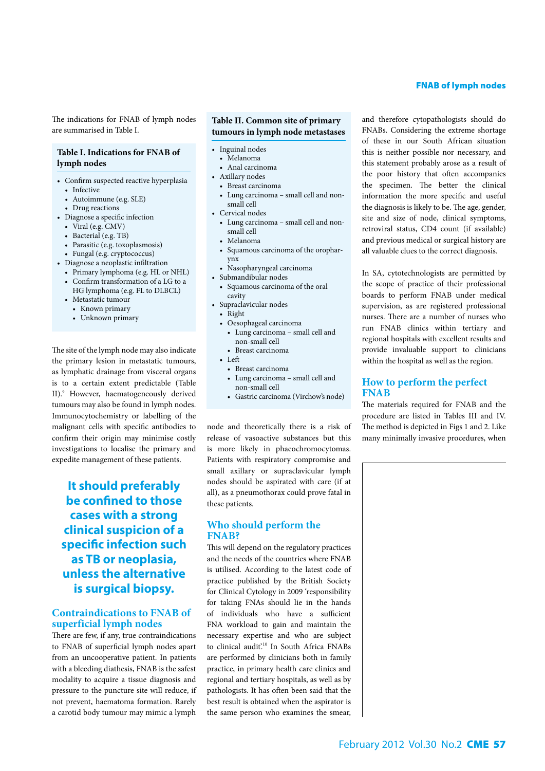The indications for FNAB of lymph nodes are summarised in Table I.

### **Table I. Indications for FNAB of lymph nodes**

- • Confirm suspected reactive hyperplasia
	- • Infective
	- • Autoimmune (e.g. SLE)
	- Drug reactions
- • Diagnose a specific infection
	- • Viral (e.g. CMV)
	- Bacterial (e.g. TB)
	- • Parasitic (e.g. toxoplasmosis)
	- • Fungal (e.g. cryptococcus)
- • Diagnose a neoplastic infiltration
	- • Primary lymphoma (e.g. HL or NHL)
	- • Confirm transformation of a LG to a
	- HG lymphoma (e.g. FL to DLBCL)
	- Metastatic tumour
	- • Known primary
	- Unknown primary

The site of the lymph node may also indicate the primary lesion in metastatic tumours, as lymphatic drainage from visceral organs is to a certain extent predictable (Table II).<sup>9</sup> However, haematogeneously derived tumours may also be found in lymph nodes. Immunocytochemistry or labelling of the malignant cells with specific antibodies to confirm their origin may minimise costly investigations to localise the primary and expedite management of these patients.

**It should preferably be confined to those cases with a strong clinical suspicion of a specific infection such as TB or neoplasia, unless the alternative is surgical biopsy.** 

### **Contraindications to FNAB of superficial lymph nodes**

There are few, if any, true contraindications to FNAB of superficial lymph nodes apart from an uncooperative patient. In patients with a bleeding diathesis, FNAB is the safest modality to acquire a tissue diagnosis and pressure to the puncture site will reduce, if not prevent, haematoma formation. Rarely a carotid body tumour may mimic a lymph

### **Table II. Common site of primary tumours in lymph node metastases**

- Inguinal nodes
	- Melanoma
	- Anal carcinoma
- • Axillary nodes • Breast carcinoma
- • Lung carcinoma small cell and nonsmall cell
- Cervical nodes
	- • Lung carcinoma small cell and nonsmall cell
	- • Melanoma
	- • Squamous carcinoma of the oropharynx
	- Nasopharyngeal carcinoma
- • Submandibular nodes
- • Squamous carcinoma of the oral cavity
- Supraclavicular nodes
	- • Right
	- • Oesophageal carcinoma • Lung carcinoma – small cell and
		- non-small cell • Breast carcinoma
	- • Left
	- - Breast carcinoma • Lung carcinoma – small cell and non-small cell
	- • Gastric carcinoma (Virchow's node)

node and theoretically there is a risk of release of vasoactive substances but this is more likely in phaeochromocytomas. Patients with respiratory compromise and small axillary or supraclavicular lymph nodes should be aspirated with care (if at all), as a pneumothorax could prove fatal in these patients.

### **Who should perform the FNAB?**

This will depend on the regulatory practices and the needs of the countries where FNAB is utilised. According to the latest code of practice published by the British Society for Clinical Cytology in 2009 'responsibility for taking FNAs should lie in the hands of individuals who have a sufficient FNA workload to gain and maintain the necessary expertise and who are subject to clinical audit.<sup>10</sup> In South Africa FNABs are performed by clinicians both in family practice, in primary health care clinics and regional and tertiary hospitals, as well as by pathologists. It has often been said that the best result is obtained when the aspirator is the same person who examines the smear, and therefore cytopathologists should do FNABs. Considering the extreme shortage of these in our South African situation this is neither possible nor necessary, and this statement probably arose as a result of the poor history that often accompanies the specimen. The better the clinical information the more specific and useful the diagnosis is likely to be. The age, gender, site and size of node, clinical symptoms, retroviral status, CD4 count (if available) and previous medical or surgical history are all valuable clues to the correct diagnosis.

In SA, cytotechnologists are permitted by the scope of practice of their professional boards to perform FNAB under medical supervision, as are registered professional nurses. There are a number of nurses who run FNAB clinics within tertiary and regional hospitals with excellent results and provide invaluable support to clinicians within the hospital as well as the region.

### **How to perform the perfect FNAB**

The materials required for FNAB and the procedure are listed in Tables III and IV. The method is depicted in Figs 1 and 2. Like many minimally invasive procedures, when

### FNAB of lymph nodes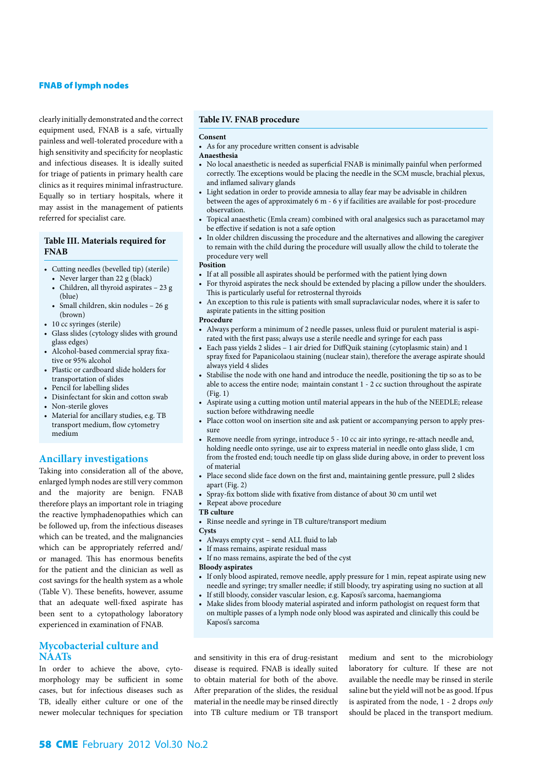### FNAB of lymph nodes

clearly initially demonstrated and the correct equipment used, FNAB is a safe, virtually painless and well-tolerated procedure with a high sensitivity and specificity for neoplastic and infectious diseases. It is ideally suited for triage of patients in primary health care clinics as it requires minimal infrastructure. Equally so in tertiary hospitals, where it may assist in the management of patients referred for specialist care.

#### **Table III. Materials required for FNAB**

- • Cutting needles (bevelled tip) (sterile)
	- Never larger than 22 g (black)
	- • Children, all thyroid aspirates 23 g (blue)
	- • Small children, skin nodules 26 g (brown)
- 10 cc syringes (sterile)
- • Glass slides (cytology slides with ground glass edges)
- • Alcohol-based commercial spray fixative or 95% alcohol
- • Plastic or cardboard slide holders for transportation of slides
- Pencil for labelling slides
- • Disinfectant for skin and cotton swab
- Non-sterile gloves
- Material for ancillary studies, e.g. TB transport medium, flow cytometry medium

### **Ancillary investigations**

Taking into consideration all of the above, enlarged lymph nodes are still very common and the majority are benign. FNAB therefore plays an important role in triaging the reactive lymphadenopathies which can be followed up, from the infectious diseases which can be treated, and the malignancies which can be appropriately referred and/ or managed. This has enormous benefits for the patient and the clinician as well as cost savings for the health system as a whole (Table V). These benefits, however, assume that an adequate well-fixed aspirate has been sent to a cytopathology laboratory experienced in examination of FNAB.

### **Mycobacterial culture and NAATs**

In order to achieve the above, cytomorphology may be sufficient in some cases, but for infectious diseases such as TB, ideally either culture or one of the newer molecular techniques for speciation

### **Table IV. FNAB procedure**

#### **Consent**

- • As for any procedure written consent is advisable
- **Anaesthesia**
- No local anaesthetic is needed as superficial FNAB is minimally painful when performed correctly. The exceptions would be placing the needle in the SCM muscle, brachial plexus, and inflamed salivary glands
- Light sedation in order to provide amnesia to allay fear may be advisable in children between the ages of approximately 6 m - 6 y if facilities are available for post-procedure observation.
- Topical anaesthetic (Emla cream) combined with oral analgesics such as paracetamol may be effective if sedation is not a safe option
- In older children discussing the procedure and the alternatives and allowing the caregiver to remain with the child during the procedure will usually allow the child to tolerate the procedure very well

#### **Position**

- • If at all possible all aspirates should be performed with the patient lying down
- For thyroid aspirates the neck should be extended by placing a pillow under the shoulders. This is particularly useful for retrosternal thyroids
- An exception to this rule is patients with small supraclavicular nodes, where it is safer to aspirate patients in the sitting position

#### **Procedure**

- • Always perform a minimum of 2 needle passes, unless fluid or purulent material is aspirated with the first pass; always use a sterile needle and syringe for each pass
- • Each pass yields 2 slides 1 air dried for DiffQuik staining (cytoplasmic stain) and 1 spray fixed for Papanicolaou staining (nuclear stain), therefore the average aspirate should always yield 4 slides
- Stabilise the node with one hand and introduce the needle, positioning the tip so as to be able to access the entire node; maintain constant 1 - 2 cc suction throughout the aspirate (Fig. 1)
- Aspirate using a cutting motion until material appears in the hub of the NEEDLE; release suction before withdrawing needle
- Place cotton wool on insertion site and ask patient or accompanying person to apply pressure
- Remove needle from syringe, introduce 5 10 cc air into syringe, re-attach needle and, holding needle onto syringe, use air to express material in needle onto glass slide, 1 cm from the frosted end; touch needle tip on glass slide during above, in order to prevent loss of material
- • Place second slide face down on the first and, maintaining gentle pressure, pull 2 slides apart (Fig. 2)
- Spray-fix bottom slide with fixative from distance of about 30 cm until wet
- Repeat above procedure
- **TB culture**
- • Rinse needle and syringe in TB culture/transport medium

- Always empty cyst send ALL fluid to lab
- If mass remains, aspirate residual mass
- • If no mass remains, aspirate the bed of the cyst

#### **Bloody aspirates**

- If only blood aspirated, remove needle, apply pressure for 1 min, repeat aspirate using new needle and syringe; try smaller needle; if still bloody, try aspirating using no suction at all
- If still bloody, consider vascular lesion, e.g. Kaposi's sarcoma, haemangioma
- Make slides from bloody material aspirated and inform pathologist on request form that on multiple passes of a lymph node only blood was aspirated and clinically this could be Kaposi's sarcoma

and sensitivity in this era of drug-resistant disease is required. FNAB is ideally suited to obtain material for both of the above. After preparation of the slides, the residual material in the needle may be rinsed directly into TB culture medium or TB transport

medium and sent to the microbiology laboratory for culture. If these are not available the needle may be rinsed in sterile saline but the yield will not be as good. If pus is aspirated from the node, 1 - 2 drops *only*  should be placed in the transport medium.

**Cysts**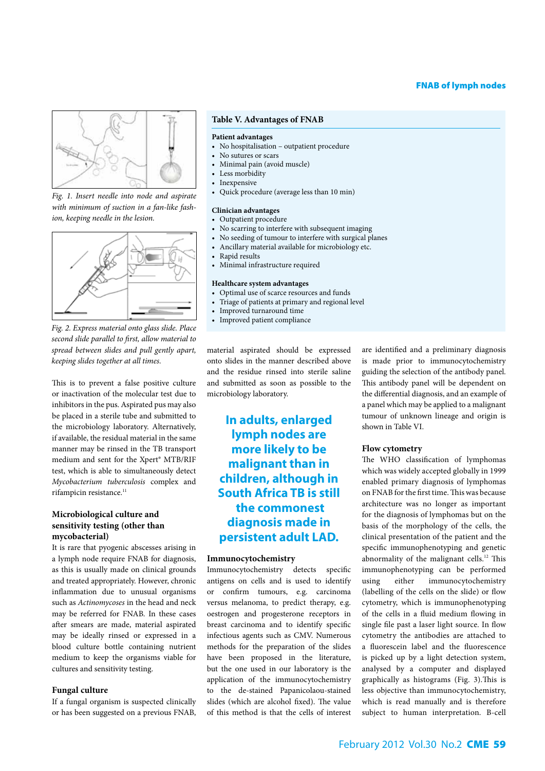### FNAB of lymph nodes



*Fig. 1. Insert needle into node and aspirate with minimum of suction in a fan-like fashion, keeping needle in the lesion.*



*Fig. 2. Express material onto glass slide. Place second slide parallel to first, allow material to spread between slides and pull gently apart, keeping slides together at all times.*

This is to prevent a false positive culture or inactivation of the molecular test due to inhibitors in the pus. Aspirated pus may also be placed in a sterile tube and submitted to the microbiology laboratory. Alternatively, if available, the residual material in the same manner may be rinsed in the TB transport medium and sent for the Xpert® MTB/RIF test, which is able to simultaneously detect *Mycobacterium tuberculosis* complex and rifampicin resistance.<sup>11</sup>

### **Microbiological culture and sensitivity testing (other than mycobacterial)**

It is rare that pyogenic abscesses arising in a lymph node require FNAB for diagnosis, as this is usually made on clinical grounds and treated appropriately. However, chronic inflammation due to unusual organisms such as *Actinomycoses* in the head and neck may be referred for FNAB. In these cases after smears are made, material aspirated may be ideally rinsed or expressed in a blood culture bottle containing nutrient medium to keep the organisms viable for cultures and sensitivity testing.

#### **Fungal culture**

If a fungal organism is suspected clinically or has been suggested on a previous FNAB,

#### **Table V. Advantages of FNAB**

#### **Patient advantages**

- No hospitalisation outpatient procedure
- No sutures or scars
- Minimal pain (avoid muscle)
- • Less morbidity
- Inexpensive
- • Quick procedure (average less than 10 min)

#### **Clinician advantages**

- • Outpatient procedure
- No scarring to interfere with subsequent imaging
- No seeding of tumour to interfere with surgical planes
- Ancillary material available for microbiology etc.
- Rapid results
- • Minimal infrastructure required

### **Healthcare system advantages**

- • Optimal use of scarce resources and funds
- • Triage of patients at primary and regional level
- • Improved turnaround time
- Improved patient compliance

material aspirated should be expressed onto slides in the manner described above and the residue rinsed into sterile saline and submitted as soon as possible to the microbiology laboratory.

**In adults, enlarged lymph nodes are more likely to be malignant than in children, although in South Africa TB is still the commonest diagnosis made in persistent adult LAD.**

#### **Immunocytochemistry**

Immunocytochemistry detects specific antigens on cells and is used to identify or confirm tumours, e.g. carcinoma versus melanoma, to predict therapy, e.g. oestrogen and progesterone receptors in breast carcinoma and to identify specific infectious agents such as CMV. Numerous methods for the preparation of the slides have been proposed in the literature, but the one used in our laboratory is the application of the immunocytochemistry to the de-stained Papanicolaou-stained slides (which are alcohol fixed). The value of this method is that the cells of interest are identified and a preliminary diagnosis is made prior to immunocytochemistry guiding the selection of the antibody panel. This antibody panel will be dependent on the differential diagnosis, and an example of a panel which may be applied to a malignant tumour of unknown lineage and origin is shown in Table VI.

#### **Flow cytometry**

The WHO classification of lymphomas which was widely accepted globally in 1999 enabled primary diagnosis of lymphomas on FNAB for the first time. This was because architecture was no longer as important for the diagnosis of lymphomas but on the basis of the morphology of the cells, the clinical presentation of the patient and the specific immunophenotyping and genetic abnormality of the malignant cells.<sup>12</sup> This immunophenotyping can be performed using either immunocytochemistry (labelling of the cells on the slide) or flow cytometry, which is immunophenotyping of the cells in a fluid medium flowing in single file past a laser light source. In flow cytometry the antibodies are attached to a fluorescein label and the fluorescence is picked up by a light detection system, analysed by a computer and displayed graphically as histograms (Fig. 3).This is less objective than immunocytochemistry, which is read manually and is therefore subject to human interpretation. B-cell